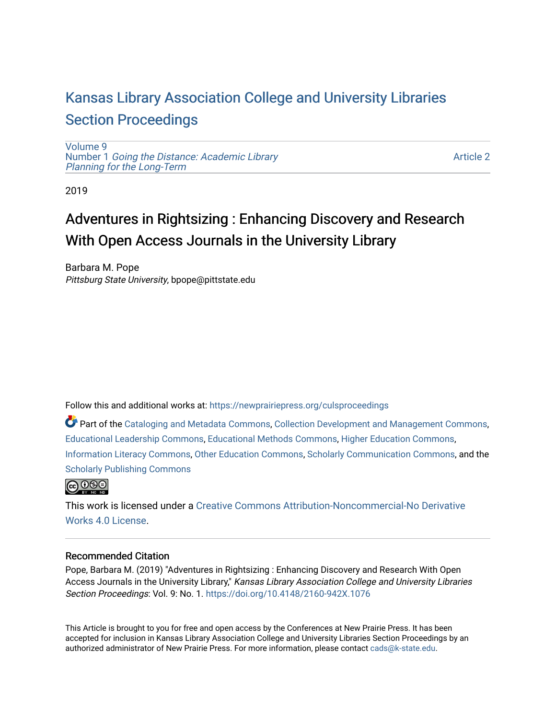## [Kansas Library Association College and University Libraries](https://newprairiepress.org/culsproceedings)  [Section Proceedings](https://newprairiepress.org/culsproceedings)

[Volume 9](https://newprairiepress.org/culsproceedings/vol9) Number 1 [Going the Distance: Academic Library](https://newprairiepress.org/culsproceedings/vol9/iss1)  [Planning for the Long-Term](https://newprairiepress.org/culsproceedings/vol9/iss1) 

[Article 2](https://newprairiepress.org/culsproceedings/vol9/iss1/2) 

2019

# Adventures in Rightsizing : Enhancing Discovery and Research With Open Access Journals in the University Library

Barbara M. Pope Pittsburg State University, bpope@pittstate.edu

Follow this and additional works at: [https://newprairiepress.org/culsproceedings](https://newprairiepress.org/culsproceedings?utm_source=newprairiepress.org%2Fculsproceedings%2Fvol9%2Fiss1%2F2&utm_medium=PDF&utm_campaign=PDFCoverPages)

Part of the [Cataloging and Metadata Commons,](http://network.bepress.com/hgg/discipline/1270?utm_source=newprairiepress.org%2Fculsproceedings%2Fvol9%2Fiss1%2F2&utm_medium=PDF&utm_campaign=PDFCoverPages) [Collection Development and Management Commons,](http://network.bepress.com/hgg/discipline/1271?utm_source=newprairiepress.org%2Fculsproceedings%2Fvol9%2Fiss1%2F2&utm_medium=PDF&utm_campaign=PDFCoverPages) [Educational Leadership Commons](http://network.bepress.com/hgg/discipline/1230?utm_source=newprairiepress.org%2Fculsproceedings%2Fvol9%2Fiss1%2F2&utm_medium=PDF&utm_campaign=PDFCoverPages), [Educational Methods Commons](http://network.bepress.com/hgg/discipline/1227?utm_source=newprairiepress.org%2Fculsproceedings%2Fvol9%2Fiss1%2F2&utm_medium=PDF&utm_campaign=PDFCoverPages), [Higher Education Commons,](http://network.bepress.com/hgg/discipline/1245?utm_source=newprairiepress.org%2Fculsproceedings%2Fvol9%2Fiss1%2F2&utm_medium=PDF&utm_campaign=PDFCoverPages) [Information Literacy Commons,](http://network.bepress.com/hgg/discipline/1243?utm_source=newprairiepress.org%2Fculsproceedings%2Fvol9%2Fiss1%2F2&utm_medium=PDF&utm_campaign=PDFCoverPages) [Other Education Commons](http://network.bepress.com/hgg/discipline/811?utm_source=newprairiepress.org%2Fculsproceedings%2Fvol9%2Fiss1%2F2&utm_medium=PDF&utm_campaign=PDFCoverPages), [Scholarly Communication Commons](http://network.bepress.com/hgg/discipline/1272?utm_source=newprairiepress.org%2Fculsproceedings%2Fvol9%2Fiss1%2F2&utm_medium=PDF&utm_campaign=PDFCoverPages), and the [Scholarly Publishing Commons](http://network.bepress.com/hgg/discipline/1273?utm_source=newprairiepress.org%2Fculsproceedings%2Fvol9%2Fiss1%2F2&utm_medium=PDF&utm_campaign=PDFCoverPages)



This work is licensed under a [Creative Commons Attribution-Noncommercial-No Derivative](https://creativecommons.org/licenses/by-nc-nd/4.0/)  [Works 4.0 License](https://creativecommons.org/licenses/by-nc-nd/4.0/).

### Recommended Citation

Pope, Barbara M. (2019) "Adventures in Rightsizing : Enhancing Discovery and Research With Open Access Journals in the University Library," Kansas Library Association College and University Libraries Section Proceedings: Vol. 9: No. 1. <https://doi.org/10.4148/2160-942X.1076>

This Article is brought to you for free and open access by the Conferences at New Prairie Press. It has been accepted for inclusion in Kansas Library Association College and University Libraries Section Proceedings by an authorized administrator of New Prairie Press. For more information, please contact [cads@k-state.edu.](mailto:cads@k-state.edu)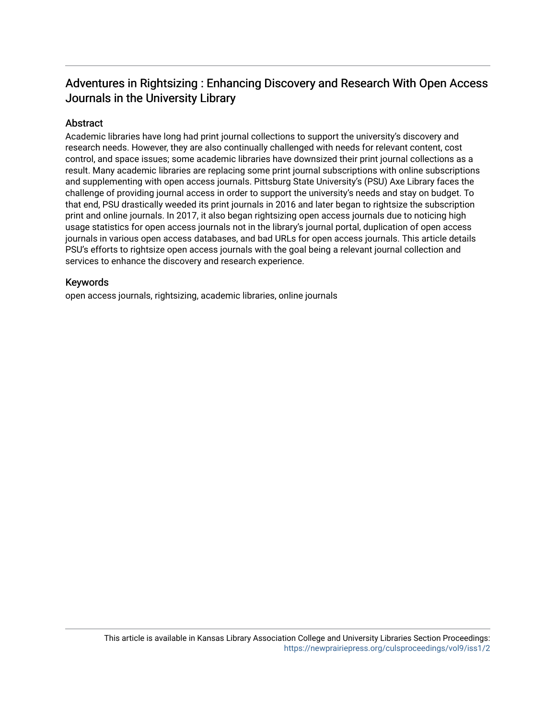## Adventures in Rightsizing : Enhancing Discovery and Research With Open Access Journals in the University Library

## Abstract

Academic libraries have long had print journal collections to support the university's discovery and research needs. However, they are also continually challenged with needs for relevant content, cost control, and space issues; some academic libraries have downsized their print journal collections as a result. Many academic libraries are replacing some print journal subscriptions with online subscriptions and supplementing with open access journals. Pittsburg State University's (PSU) Axe Library faces the challenge of providing journal access in order to support the university's needs and stay on budget. To that end, PSU drastically weeded its print journals in 2016 and later began to rightsize the subscription print and online journals. In 2017, it also began rightsizing open access journals due to noticing high usage statistics for open access journals not in the library's journal portal, duplication of open access journals in various open access databases, and bad URLs for open access journals. This article details PSU's efforts to rightsize open access journals with the goal being a relevant journal collection and services to enhance the discovery and research experience.

### Keywords

open access journals, rightsizing, academic libraries, online journals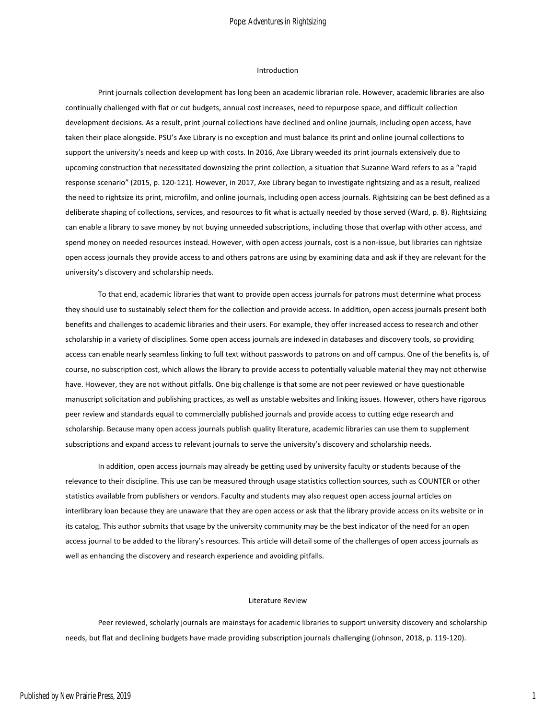#### Introduction

Print journals collection development has long been an academic librarian role. However, academic libraries are also continually challenged with flat or cut budgets, annual cost increases, need to repurpose space, and difficult collection development decisions. As a result, print journal collections have declined and online journals, including open access, have taken their place alongside. PSU's Axe Library is no exception and must balance its print and online journal collections to support the university's needs and keep up with costs. In 2016, Axe Library weeded its print journals extensively due to upcoming construction that necessitated downsizing the print collection, a situation that Suzanne Ward refers to as a "rapid response scenario" (2015, p. 120-121). However, in 2017, Axe Library began to investigate rightsizing and as a result, realized the need to rightsize its print, microfilm, and online journals, including open access journals. Rightsizing can be best defined as a deliberate shaping of collections, services, and resources to fit what is actually needed by those served (Ward, p. 8). Rightsizing can enable a library to save money by not buying unneeded subscriptions, including those that overlap with other access, and spend money on needed resources instead. However, with open access journals, cost is a non-issue, but libraries can rightsize open access journals they provide access to and others patrons are using by examining data and ask if they are relevant for the university's discovery and scholarship needs.

To that end, academic libraries that want to provide open access journals for patrons must determine what process they should use to sustainably select them for the collection and provide access. In addition, open access journals present both benefits and challenges to academic libraries and their users. For example, they offer increased access to research and other scholarship in a variety of disciplines. Some open access journals are indexed in databases and discovery tools, so providing access can enable nearly seamless linking to full text without passwords to patrons on and off campus. One of the benefits is, of course, no subscription cost, which allows the library to provide access to potentially valuable material they may not otherwise have. However, they are not without pitfalls. One big challenge is that some are not peer reviewed or have questionable manuscript solicitation and publishing practices, as well as unstable websites and linking issues. However, others have rigorous peer review and standards equal to commercially published journals and provide access to cutting edge research and scholarship. Because many open access journals publish quality literature, academic libraries can use them to supplement subscriptions and expand access to relevant journals to serve the university's discovery and scholarship needs.

In addition, open access journals may already be getting used by university faculty or students because of the relevance to their discipline. This use can be measured through usage statistics collection sources, such as COUNTER or other statistics available from publishers or vendors. Faculty and students may also request open access journal articles on interlibrary loan because they are unaware that they are open access or ask that the library provide access on its website or in its catalog. This author submits that usage by the university community may be the best indicator of the need for an open access journal to be added to the library's resources. This article will detail some of the challenges of open access journals as well as enhancing the discovery and research experience and avoiding pitfalls.

#### Literature Review

Peer reviewed, scholarly journals are mainstays for academic libraries to support university discovery and scholarship needs, but flat and declining budgets have made providing subscription journals challenging (Johnson, 2018, p. 119-120).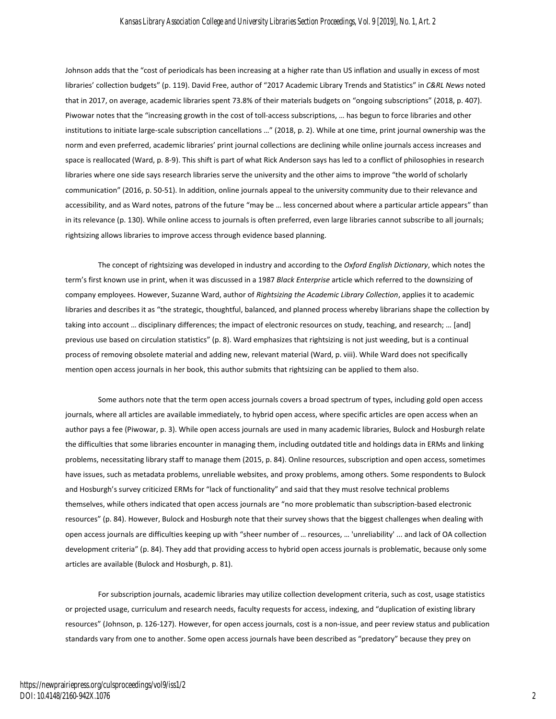#### *Kansas Library Association College and University Libraries Section Proceedings, Vol. 9 [2019], No. 1, Art. 2*

Johnson adds that the "cost of periodicals has been increasing at a higher rate than US inflation and usually in excess of most libraries' collection budgets" (p. 119). David Free, author of "2017 Academic Library Trends and Statistics" in *C&RL News* noted that in 2017, on average, academic libraries spent 73.8% of their materials budgets on "ongoing subscriptions" (2018, p. 407). Piwowar notes that the "increasing growth in the cost of toll-access subscriptions, … has begun to force libraries and other institutions to initiate large-scale subscription cancellations …" (2018, p. 2). While at one time, print journal ownership was the norm and even preferred, academic libraries' print journal collections are declining while online journals access increases and space is reallocated (Ward, p. 8-9). This shift is part of what Rick Anderson says has led to a conflict of philosophies in research libraries where one side says research libraries serve the university and the other aims to improve "the world of scholarly communication" (2016, p. 50-51). In addition, online journals appeal to the university community due to their relevance and accessibility, and as Ward notes, patrons of the future "may be … less concerned about where a particular article appears" than in its relevance (p. 130). While online access to journals is often preferred, even large libraries cannot subscribe to all journals; rightsizing allows libraries to improve access through evidence based planning.

The concept of rightsizing was developed in industry and according to the *Oxford English Dictionary*, which notes the term's first known use in print, when it was discussed in a 1987 *Black Enterprise* article which referred to the downsizing of company employees. However, Suzanne Ward, author of *Rightsizing the Academic Library Collection*, applies it to academic libraries and describes it as "the strategic, thoughtful, balanced, and planned process whereby librarians shape the collection by taking into account … disciplinary differences; the impact of electronic resources on study, teaching, and research; … [and] previous use based on circulation statistics" (p. 8). Ward emphasizes that rightsizing is not just weeding, but is a continual process of removing obsolete material and adding new, relevant material (Ward, p. viii). While Ward does not specifically mention open access journals in her book, this author submits that rightsizing can be applied to them also.

Some authors note that the term open access journals covers a broad spectrum of types, including gold open access journals, where all articles are available immediately, to hybrid open access, where specific articles are open access when an author pays a fee (Piwowar, p. 3). While open access journals are used in many academic libraries, Bulock and Hosburgh relate the difficulties that some libraries encounter in managing them, including outdated title and holdings data in ERMs and linking problems, necessitating library staff to manage them (2015, p. 84). Online resources, subscription and open access, sometimes have issues, such as metadata problems, unreliable websites, and proxy problems, among others. Some respondents to Bulock and Hosburgh's survey criticized ERMs for "lack of functionality" and said that they must resolve technical problems themselves, while others indicated that open access journals are "no more problematic than subscription-based electronic resources" (p. 84). However, Bulock and Hosburgh note that their survey shows that the biggest challenges when dealing with open access journals are difficulties keeping up with "sheer number of … resources, … 'unreliability' ... and lack of OA collection development criteria" (p. 84). They add that providing access to hybrid open access journals is problematic, because only some articles are available (Bulock and Hosburgh, p. 81).

For subscription journals, academic libraries may utilize collection development criteria, such as cost, usage statistics or projected usage, curriculum and research needs, faculty requests for access, indexing, and "duplication of existing library resources" (Johnson, p. 126-127). However, for open access journals, cost is a non-issue, and peer review status and publication standards vary from one to another. Some open access journals have been described as "predatory" because they prey on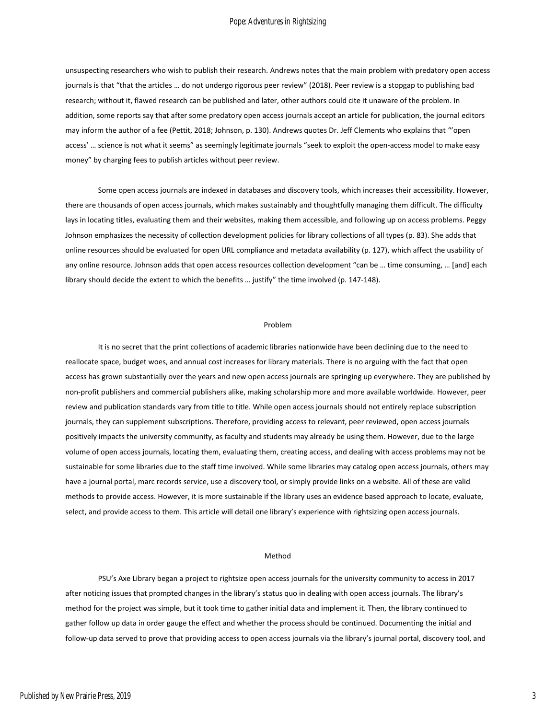#### Pope: Adventures in Rightsizing

unsuspecting researchers who wish to publish their research. Andrews notes that the main problem with predatory open access journals is that "that the articles ... do not undergo rigorous peer review" (2018). Peer review is a stopgap to publishing bad research; without it, flawed research can be published and later, other authors could cite it unaware of the problem. In addition, some reports say that after some predatory open access journals accept an article for publication, the journal editors may inform the author of a fee (Pettit, 2018; Johnson, p. 130). Andrews quotes Dr. Jeff Clements who explains that "'open access' … science is not what it seems" as seemingly legitimate journals "seek to exploit the open-access model to make easy money" by charging fees to publish articles without peer review.

Some open access journals are indexed in databases and discovery tools, which increases their accessibility. However, there are thousands of open access journals, which makes sustainably and thoughtfully managing them difficult. The difficulty lays in locating titles, evaluating them and their websites, making them accessible, and following up on access problems. Peggy Johnson emphasizes the necessity of collection development policies for library collections of all types (p. 83). She adds that online resources should be evaluated for open URL compliance and metadata availability (p. 127), which affect the usability of any online resource. Johnson adds that open access resources collection development "can be … time consuming, … [and] each library should decide the extent to which the benefits … justify" the time involved (p. 147-148).

#### Problem

It is no secret that the print collections of academic libraries nationwide have been declining due to the need to reallocate space, budget woes, and annual cost increases for library materials. There is no arguing with the fact that open access has grown substantially over the years and new open access journals are springing up everywhere. They are published by non-profit publishers and commercial publishers alike, making scholarship more and more available worldwide. However, peer review and publication standards vary from title to title. While open access journals should not entirely replace subscription journals, they can supplement subscriptions. Therefore, providing access to relevant, peer reviewed, open access journals positively impacts the university community, as faculty and students may already be using them. However, due to the large volume of open access journals, locating them, evaluating them, creating access, and dealing with access problems may not be sustainable for some libraries due to the staff time involved. While some libraries may catalog open access journals, others may have a journal portal, marc records service, use a discovery tool, or simply provide links on a website. All of these are valid methods to provide access. However, it is more sustainable if the library uses an evidence based approach to locate, evaluate, select, and provide access to them. This article will detail one library's experience with rightsizing open access journals.

#### Method

PSU's Axe Library began a project to rightsize open access journals for the university community to access in 2017 after noticing issues that prompted changes in the library's status quo in dealing with open access journals. The library's method for the project was simple, but it took time to gather initial data and implement it. Then, the library continued to gather follow up data in order gauge the effect and whether the process should be continued. Documenting the initial and follow-up data served to prove that providing access to open access journals via the library's journal portal, discovery tool, and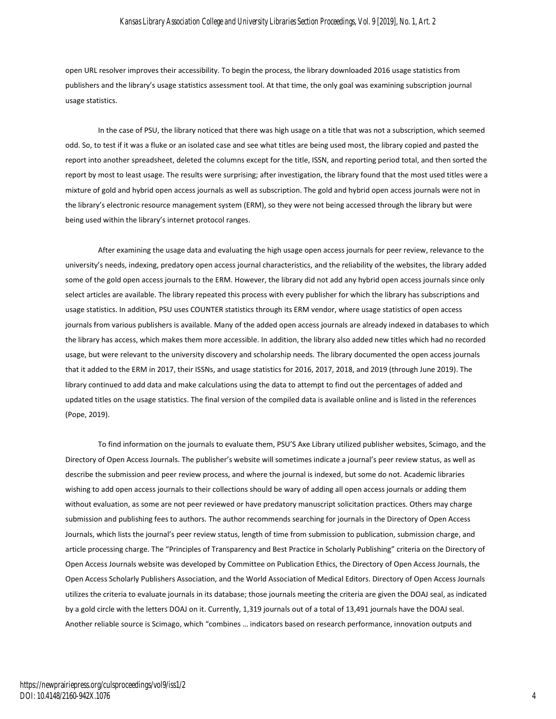#### *Kansas Library Association College and University Libraries Section Proceedings, Vol. 9 [2019], No. 1, Art. 2*

open URL resolver improves their accessibility. To begin the process, the library downloaded 2016 usage statistics from publishers and the library's usage statistics assessment tool. At that time, the only goal was examining subscription journal usage statistics.

In the case of PSU, the library noticed that there was high usage on a title that was not a subscription, which seemed odd. So, to test if it was a fluke or an isolated case and see what titles are being used most, the library copied and pasted the report into another spreadsheet, deleted the columns except for the title, ISSN, and reporting period total, and then sorted the report by most to least usage. The results were surprising; after investigation, the library found that the most used titles were a mixture of gold and hybrid open access journals as well as subscription. The gold and hybrid open access journals were not in the library's electronic resource management system (ERM), so they were not being accessed through the library but were being used within the library's internet protocol ranges.

After examining the usage data and evaluating the high usage open access journals for peer review, relevance to the university's needs, indexing, predatory open access journal characteristics, and the reliability of the websites, the library added some of the gold open access journals to the ERM. However, the library did not add any hybrid open access journals since only select articles are available. The library repeated this process with every publisher for which the library has subscriptions and usage statistics. In addition, PSU uses COUNTER statistics through its ERM vendor, where usage statistics of open access journals from various publishers is available. Many of the added open access journals are already indexed in databases to which the library has access, which makes them more accessible. In addition, the library also added new titles which had no recorded usage, but were relevant to the university discovery and scholarship needs. The library documented the open access journals that it added to the ERM in 2017, their ISSNs, and usage statistics for 2016, 2017, 2018, and 2019 (through June 2019). The library continued to add data and make calculations using the data to attempt to find out the percentages of added and updated titles on the usage statistics. The final version of the compiled data is available online and is listed in the references (Pope, 2019).

To find information on the journals to evaluate them, PSU'S Axe Library utilized publisher websites, Scimago, and the Directory of Open Access Journals. The publisher's website will sometimes indicate a journal's peer review status, as well as describe the submission and peer review process, and where the journal is indexed, but some do not. Academic libraries wishing to add open access journals to their collections should be wary of adding all open access journals or adding them without evaluation, as some are not peer reviewed or have predatory manuscript solicitation practices. Others may charge submission and publishing fees to authors. The author recommends searching for journals in the Directory of Open Access Journals, which lists the journal's peer review status, length of time from submission to publication, submission charge, and article processing charge. The "Principles of Transparency and Best Practice in Scholarly Publishing" criteria on the Directory of Open Access Journals website was developed by Committee on Publication Ethics, the Directory of Open Access Journals, the Open Access Scholarly Publishers Association, and the World Association of Medical Editors. Directory of Open Access Journals utilizes the criteria to evaluate journals in its database; those journals meeting the criteria are given the DOAJ seal, as indicated by a gold circle with the letters DOAJ on it. Currently, 1,319 journals out of a total of 13,491 journals have the DOAJ seal. Another reliable source is Scimago, which "combines … indicators based on research performance, innovation outputs and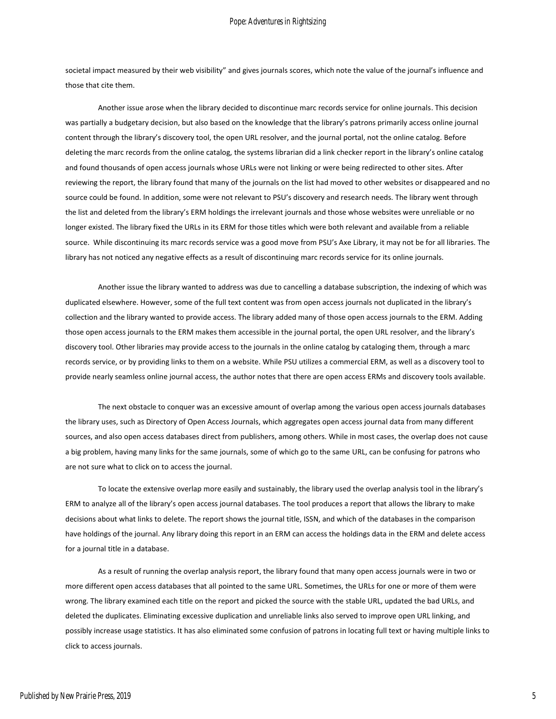societal impact measured by their web visibility" and gives journals scores, which note the value of the journal's influence and those that cite them.

Another issue arose when the library decided to discontinue marc records service for online journals. This decision was partially a budgetary decision, but also based on the knowledge that the library's patrons primarily access online journal content through the library's discovery tool, the open URL resolver, and the journal portal, not the online catalog. Before deleting the marc records from the online catalog, the systems librarian did a link checker report in the library's online catalog and found thousands of open access journals whose URLs were not linking or were being redirected to other sites. After reviewing the report, the library found that many of the journals on the list had moved to other websites or disappeared and no source could be found. In addition, some were not relevant to PSU's discovery and research needs. The library went through the list and deleted from the library's ERM holdings the irrelevant journals and those whose websites were unreliable or no longer existed. The library fixed the URLs in its ERM for those titles which were both relevant and available from a reliable source. While discontinuing its marc records service was a good move from PSU's Axe Library, it may not be for all libraries. The library has not noticed any negative effects as a result of discontinuing marc records service for its online journals.

Another issue the library wanted to address was due to cancelling a database subscription, the indexing of which was duplicated elsewhere. However, some of the full text content was from open access journals not duplicated in the library's collection and the library wanted to provide access. The library added many of those open access journals to the ERM. Adding those open access journals to the ERM makes them accessible in the journal portal, the open URL resolver, and the library's discovery tool. Other libraries may provide access to the journals in the online catalog by cataloging them, through a marc records service, or by providing links to them on a website. While PSU utilizes a commercial ERM, as well as a discovery tool to provide nearly seamless online journal access, the author notes that there are open access ERMs and discovery tools available.

The next obstacle to conquer was an excessive amount of overlap among the various open access journals databases the library uses, such as Directory of Open Access Journals, which aggregates open access journal data from many different sources, and also open access databases direct from publishers, among others. While in most cases, the overlap does not cause a big problem, having many links for the same journals, some of which go to the same URL, can be confusing for patrons who are not sure what to click on to access the journal.

To locate the extensive overlap more easily and sustainably, the library used the overlap analysis tool in the library's ERM to analyze all of the library's open access journal databases. The tool produces a report that allows the library to make decisions about what links to delete. The report shows the journal title, ISSN, and which of the databases in the comparison have holdings of the journal. Any library doing this report in an ERM can access the holdings data in the ERM and delete access for a journal title in a database.

As a result of running the overlap analysis report, the library found that many open access journals were in two or more different open access databases that all pointed to the same URL. Sometimes, the URLs for one or more of them were wrong. The library examined each title on the report and picked the source with the stable URL, updated the bad URLs, and deleted the duplicates. Eliminating excessive duplication and unreliable links also served to improve open URL linking, and possibly increase usage statistics. It has also eliminated some confusion of patrons in locating full text or having multiple links to click to access journals.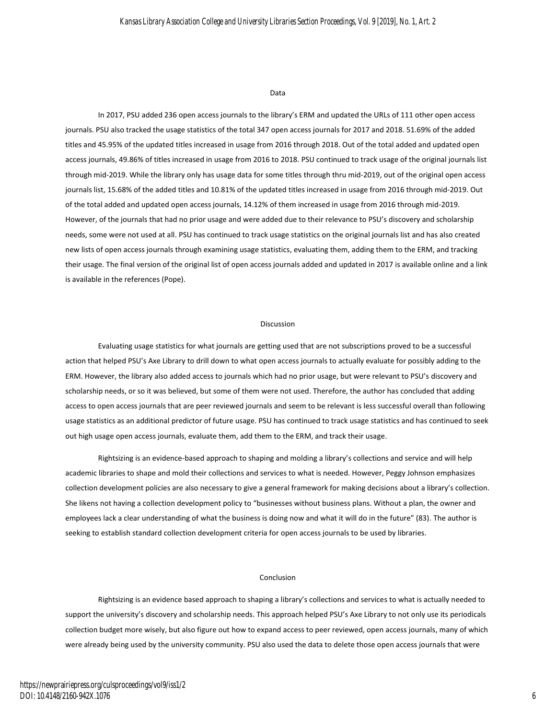#### Data

In 2017, PSU added 236 open access journals to the library's ERM and updated the URLs of 111 other open access journals. PSU also tracked the usage statistics of the total 347 open access journals for 2017 and 2018. 51.69% of the added titles and 45.95% of the updated titles increased in usage from 2016 through 2018. Out of the total added and updated open access journals, 49.86% of titles increased in usage from 2016 to 2018. PSU continued to track usage of the original journals list through mid-2019. While the library only has usage data for some titles through thru mid-2019, out of the original open access journals list, 15.68% of the added titles and 10.81% of the updated titles increased in usage from 2016 through mid-2019. Out of the total added and updated open access journals, 14.12% of them increased in usage from 2016 through mid-2019. However, of the journals that had no prior usage and were added due to their relevance to PSU's discovery and scholarship needs, some were not used at all. PSU has continued to track usage statistics on the original journals list and has also created new lists of open access journals through examining usage statistics, evaluating them, adding them to the ERM, and tracking their usage. The final version of the original list of open access journals added and updated in 2017 is available online and a link is available in the references (Pope).

#### Discussion

Evaluating usage statistics for what journals are getting used that are not subscriptions proved to be a successful action that helped PSU's Axe Library to drill down to what open access journals to actually evaluate for possibly adding to the ERM. However, the library also added access to journals which had no prior usage, but were relevant to PSU's discovery and scholarship needs, or so it was believed, but some of them were not used. Therefore, the author has concluded that adding access to open access journals that are peer reviewed journals and seem to be relevant is less successful overall than following usage statistics as an additional predictor of future usage. PSU has continued to track usage statistics and has continued to seek out high usage open access journals, evaluate them, add them to the ERM, and track their usage.

Rightsizing is an evidence-based approach to shaping and molding a library's collections and service and will help academic libraries to shape and mold their collections and services to what is needed. However, Peggy Johnson emphasizes collection development policies are also necessary to give a general framework for making decisions about a library's collection. She likens not having a collection development policy to "businesses without business plans. Without a plan, the owner and employees lack a clear understanding of what the business is doing now and what it will do in the future" (83). The author is seeking to establish standard collection development criteria for open access journals to be used by libraries.

#### Conclusion

Rightsizing is an evidence based approach to shaping a library's collections and services to what is actually needed to support the university's discovery and scholarship needs. This approach helped PSU's Axe Library to not only use its periodicals collection budget more wisely, but also figure out how to expand access to peer reviewed, open access journals, many of which were already being used by the university community. PSU also used the data to delete those open access journals that were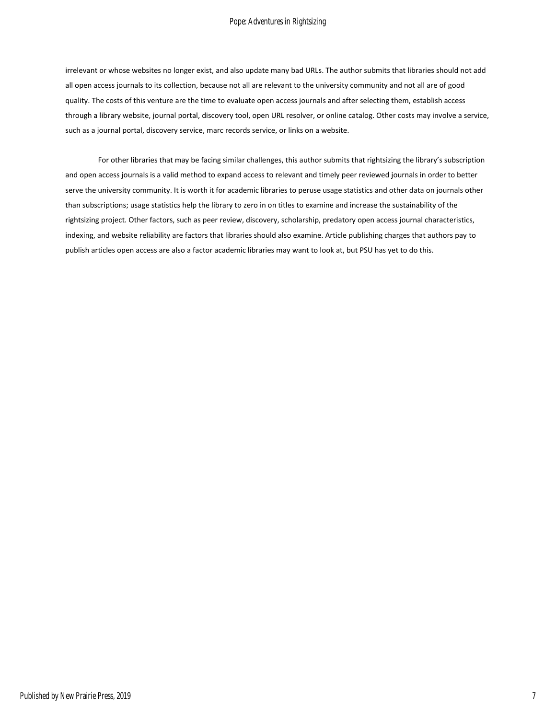#### Pope: Adventures in Rightsizing

irrelevant or whose websites no longer exist, and also update many bad URLs. The author submits that libraries should not add all open access journals to its collection, because not all are relevant to the university community and not all are of good quality. The costs of this venture are the time to evaluate open access journals and after selecting them, establish access through a library website, journal portal, discovery tool, open URL resolver, or online catalog. Other costs may involve a service, such as a journal portal, discovery service, marc records service, or links on a website.

For other libraries that may be facing similar challenges, this author submits that rightsizing the library's subscription and open access journals is a valid method to expand access to relevant and timely peer reviewed journals in order to better serve the university community. It is worth it for academic libraries to peruse usage statistics and other data on journals other than subscriptions; usage statistics help the library to zero in on titles to examine and increase the sustainability of the rightsizing project. Other factors, such as peer review, discovery, scholarship, predatory open access journal characteristics, indexing, and website reliability are factors that libraries should also examine. Article publishing charges that authors pay to publish articles open access are also a factor academic libraries may want to look at, but PSU has yet to do this.